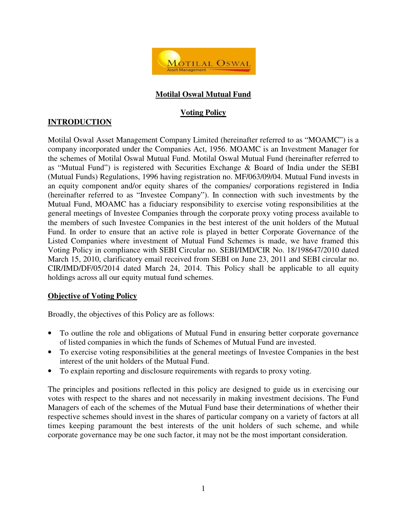

## **Motilal Oswal Mutual Fund**

## **Voting Policy**

# **INTRODUCTION**

Motilal Oswal Asset Management Company Limited (hereinafter referred to as "MOAMC") is a company incorporated under the Companies Act, 1956. MOAMC is an Investment Manager for the schemes of Motilal Oswal Mutual Fund. Motilal Oswal Mutual Fund (hereinafter referred to as "Mutual Fund") is registered with Securities Exchange & Board of India under the SEBI (Mutual Funds) Regulations, 1996 having registration no. MF/063/09/04. Mutual Fund invests in an equity component and/or equity shares of the companies/ corporations registered in India (hereinafter referred to as "Investee Company"). In connection with such investments by the Mutual Fund, MOAMC has a fiduciary responsibility to exercise voting responsibilities at the general meetings of Investee Companies through the corporate proxy voting process available to the members of such Investee Companies in the best interest of the unit holders of the Mutual Fund. In order to ensure that an active role is played in better Corporate Governance of the Listed Companies where investment of Mutual Fund Schemes is made, we have framed this Voting Policy in compliance with SEBI Circular no. SEBI/IMD/CIR No. 18/198647/2010 dated March 15, 2010, clarificatory email received from SEBI on June 23, 2011 and SEBI circular no. CIR/IMD/DF/05/2014 dated March 24, 2014. This Policy shall be applicable to all equity holdings across all our equity mutual fund schemes.

## **Objective of Voting Policy**

Broadly, the objectives of this Policy are as follows:

- To outline the role and obligations of Mutual Fund in ensuring better corporate governance of listed companies in which the funds of Schemes of Mutual Fund are invested.
- To exercise voting responsibilities at the general meetings of Investee Companies in the best interest of the unit holders of the Mutual Fund.
- To explain reporting and disclosure requirements with regards to proxy voting.

The principles and positions reflected in this policy are designed to guide us in exercising our votes with respect to the shares and not necessarily in making investment decisions. The Fund Managers of each of the schemes of the Mutual Fund base their determinations of whether their respective schemes should invest in the shares of particular company on a variety of factors at all times keeping paramount the best interests of the unit holders of such scheme, and while corporate governance may be one such factor, it may not be the most important consideration.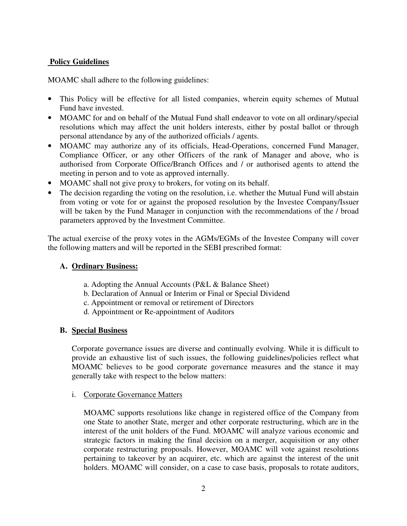## **Policy Guidelines**

MOAMC shall adhere to the following guidelines:

- This Policy will be effective for all listed companies, wherein equity schemes of Mutual Fund have invested.
- MOAMC for and on behalf of the Mutual Fund shall endeavor to vote on all ordinary/special resolutions which may affect the unit holders interests, either by postal ballot or through personal attendance by any of the authorized officials / agents.
- MOAMC may authorize any of its officials, Head-Operations, concerned Fund Manager, Compliance Officer, or any other Officers of the rank of Manager and above, who is authorised from Corporate Office/Branch Offices and / or authorised agents to attend the meeting in person and to vote as approved internally.
- MOAMC shall not give proxy to brokers, for voting on its behalf.
- The decision regarding the voting on the resolution, i.e. whether the Mutual Fund will abstain from voting or vote for or against the proposed resolution by the Investee Company/Issuer will be taken by the Fund Manager in conjunction with the recommendations of the / broad parameters approved by the Investment Committee.

The actual exercise of the proxy votes in the AGMs/EGMs of the Investee Company will cover the following matters and will be reported in the SEBI prescribed format:

## **A. Ordinary Business:**

- a. Adopting the Annual Accounts (P&L & Balance Sheet)
- b. Declaration of Annual or Interim or Final or Special Dividend
- c. Appointment or removal or retirement of Directors
- d. Appointment or Re-appointment of Auditors

#### **B. Special Business**

 Corporate governance issues are diverse and continually evolving. While it is difficult to provide an exhaustive list of such issues, the following guidelines/policies reflect what MOAMC believes to be good corporate governance measures and the stance it may generally take with respect to the below matters:

#### i. Corporate Governance Matters

MOAMC supports resolutions like change in registered office of the Company from one State to another State, merger and other corporate restructuring, which are in the interest of the unit holders of the Fund. MOAMC will analyze various economic and strategic factors in making the final decision on a merger, acquisition or any other corporate restructuring proposals. However, MOAMC will vote against resolutions pertaining to takeover by an acquirer, etc. which are against the interest of the unit holders. MOAMC will consider, on a case to case basis, proposals to rotate auditors,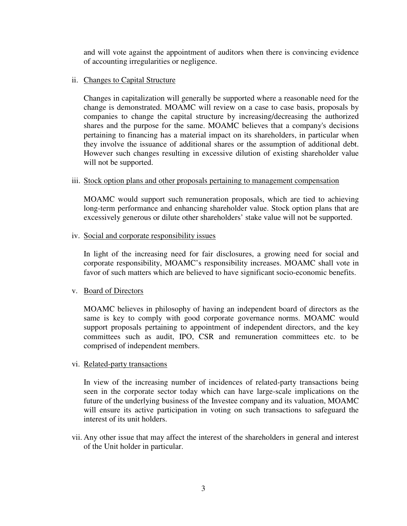and will vote against the appointment of auditors when there is convincing evidence of accounting irregularities or negligence.

#### ii. Changes to Capital Structure

Changes in capitalization will generally be supported where a reasonable need for the change is demonstrated. MOAMC will review on a case to case basis, proposals by companies to change the capital structure by increasing/decreasing the authorized shares and the purpose for the same. MOAMC believes that a company's decisions pertaining to financing has a material impact on its shareholders, in particular when they involve the issuance of additional shares or the assumption of additional debt. However such changes resulting in excessive dilution of existing shareholder value will not be supported.

#### iii. Stock option plans and other proposals pertaining to management compensation

MOAMC would support such remuneration proposals, which are tied to achieving long-term performance and enhancing shareholder value. Stock option plans that are excessively generous or dilute other shareholders' stake value will not be supported.

#### iv. Social and corporate responsibility issues

In light of the increasing need for fair disclosures, a growing need for social and corporate responsibility, MOAMC's responsibility increases. MOAMC shall vote in favor of such matters which are believed to have significant socio-economic benefits.

#### v. Board of Directors

MOAMC believes in philosophy of having an independent board of directors as the same is key to comply with good corporate governance norms. MOAMC would support proposals pertaining to appointment of independent directors, and the key committees such as audit, IPO, CSR and remuneration committees etc. to be comprised of independent members.

#### vi. Related-party transactions

In view of the increasing number of incidences of related-party transactions being seen in the corporate sector today which can have large-scale implications on the future of the underlying business of the Investee company and its valuation, MOAMC will ensure its active participation in voting on such transactions to safeguard the interest of its unit holders.

vii. Any other issue that may affect the interest of the shareholders in general and interest of the Unit holder in particular.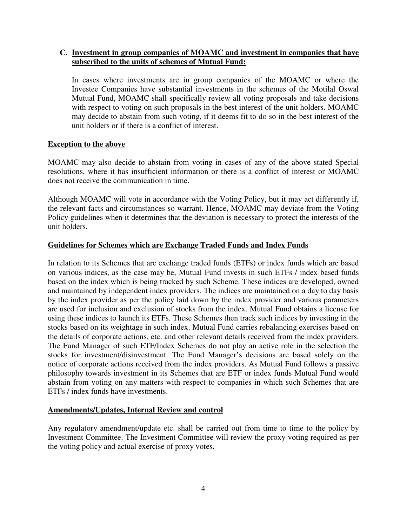## **C. Investment in group companies of MOAMC and investment in companies that have subscribed to the units of schemes of Mutual Fund:**

In cases where investments are in group companies of the MOAMC or where the Investee Companies have substantial investments in the schemes of the Motilal Oswal Mutual Fund, MOAMC shall specifically review all voting proposals and take decisions with respect to voting on such proposals in the best interest of the unit holders. MOAMC may decide to abstain from such voting, if it deems fit to do so in the best interest of the unit holders or if there is a conflict of interest.

#### **Exception to the above**

MOAMC may also decide to abstain from voting in cases of any of the above stated Special resolutions, where it has insufficient information or there is a conflict of interest or MOAMC does not receive the communication in time.

Although MOAMC will vote in accordance with the Voting Policy, but it may act differently if, the relevant facts and circumstances so warrant. Hence, MOAMC may deviate from the Voting Policy guidelines when it determines that the deviation is necessary to protect the interests of the unit holders.

#### **Guidelines for Schemes which are Exchange Traded Funds and Index Funds**

In relation to its Schemes that are exchange traded funds (ETFs) or index funds which are based on various indices, as the case may be, Mutual Fund invests in such ETFs / index based funds based on the index which is being tracked by such Scheme. These indices are developed, owned and maintained by independent index providers. The indices are maintained on a day to day basis by the index provider as per the policy laid down by the index provider and various parameters are used for inclusion and exclusion of stocks from the index. Mutual Fund obtains a license for using these indices to launch its ETFs. These Schemes then track such indices by investing in the stocks based on its weightage in such index. Mutual Fund carries rebalancing exercises based on the details of corporate actions, etc. and other relevant details received from the index providers. The Fund Manager of such ETF/Index Schemes do not play an active role in the selection the stocks for investment/disinvestment. The Fund Manager's decisions are based solely on the notice of corporate actions received from the index providers. As Mutual Fund follows a passive philosophy towards investment in its Schemes that are ETF or index funds Mutual Fund would abstain from voting on any matters with respect to companies in which such Schemes that are ETFs / index funds have investments.

#### **Amendments/Updates, Internal Review and control**

Any regulatory amendment/update etc. shall be carried out from time to time to the policy by Investment Committee. The Investment Committee will review the proxy voting required as per the voting policy and actual exercise of proxy votes.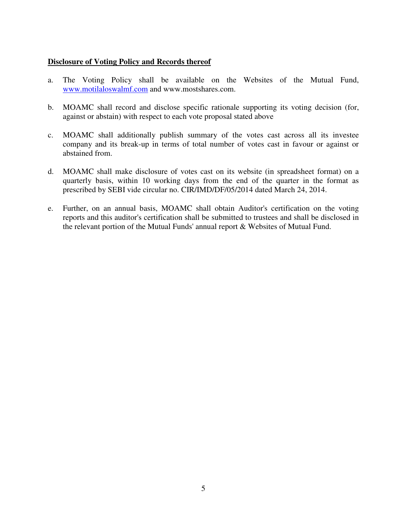#### **Disclosure of Voting Policy and Records thereof**

- a. The Voting Policy shall be available on the Websites of the Mutual Fund, www.motilaloswalmf.com and www.mostshares.com.
- b. MOAMC shall record and disclose specific rationale supporting its voting decision (for, against or abstain) with respect to each vote proposal stated above
- c. MOAMC shall additionally publish summary of the votes cast across all its investee company and its break-up in terms of total number of votes cast in favour or against or abstained from.
- d. MOAMC shall make disclosure of votes cast on its website (in spreadsheet format) on a quarterly basis, within 10 working days from the end of the quarter in the format as prescribed by SEBI vide circular no. CIR/IMD/DF/05/2014 dated March 24, 2014.
- e. Further, on an annual basis, MOAMC shall obtain Auditor's certification on the voting reports and this auditor's certification shall be submitted to trustees and shall be disclosed in the relevant portion of the Mutual Funds' annual report & Websites of Mutual Fund.